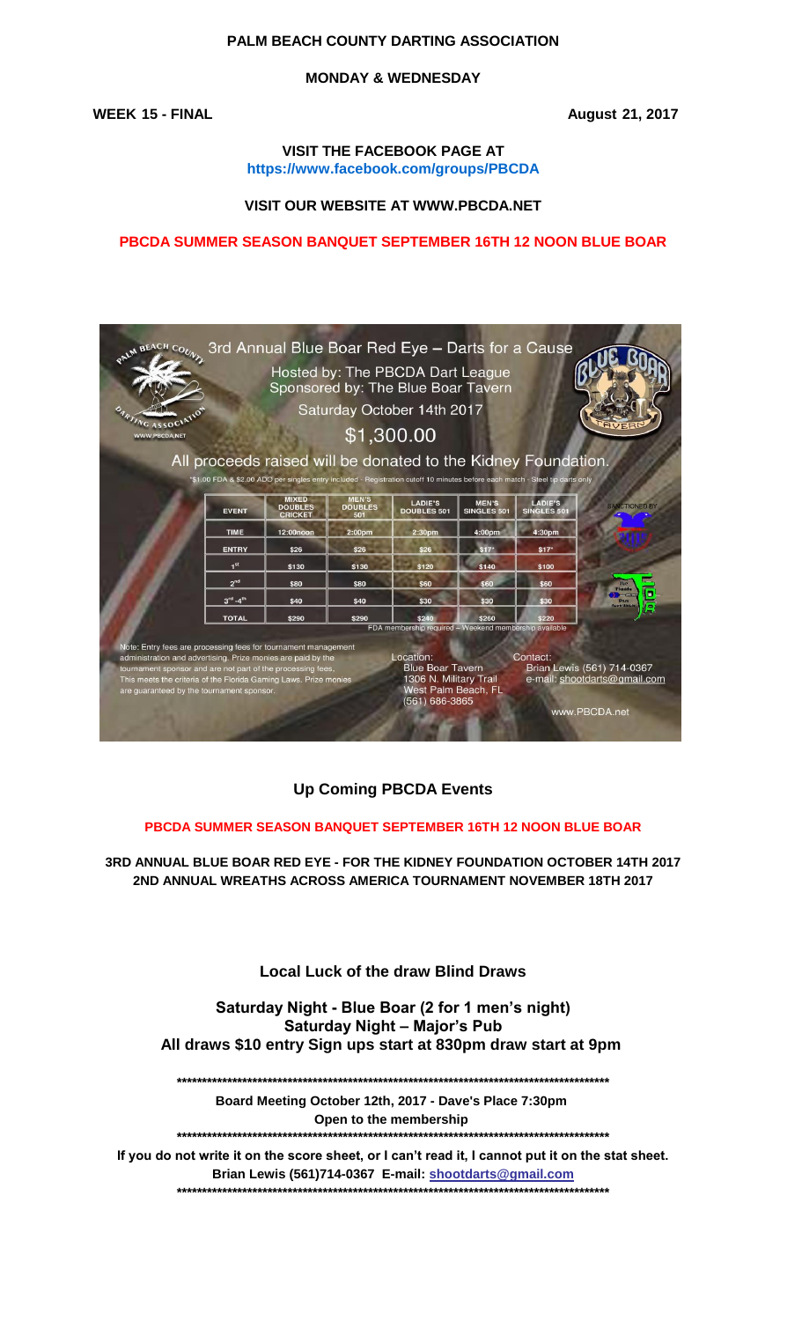## **PALM BEACH COUNTY DARTING ASSOCIATION**

### **MONDAY & WEDNESDAY**

**WEEK 15 - FINAL August 21, 2017**

**VISIT THE FACEBOOK PAGE AT https://www.facebook.com/groups/PBCDA**

#### **VISIT OUR WEBSITE AT WWW.PBCDA.NET**

#### **PBCDA SUMMER SEASON BANQUET SEPTEMBER 16TH 12 NOON BLUE BOAR**



# **Up Coming PBCDA Events**

#### **PBCDA SUMMER SEASON BANQUET SEPTEMBER 16TH 12 NOON BLUE BOAR**

**2ND ANNUAL WREATHS ACROSS AMERICA TOURNAMENT NOVEMBER 18TH 2017 3RD ANNUAL BLUE BOAR RED EYE - FOR THE KIDNEY FOUNDATION OCTOBER 14TH 2017**

## **Local Luck of the draw Blind Draws**

#### **Saturday Night - Blue Boar (2 for 1 men's night) Saturday Night – Major's Pub All draws \$10 entry Sign ups start at 830pm draw start at 9pm**

**\*\*\*\*\*\*\*\*\*\*\*\*\*\*\*\*\*\*\*\*\*\*\*\*\*\*\*\*\*\*\*\*\*\*\*\*\*\*\*\*\*\*\*\*\*\*\*\*\*\*\*\*\*\*\*\*\*\*\*\*\*\*\*\*\*\*\*\*\*\*\*\*\*\*\*\*\*\*\*\*\*\*\*\*\*\***

**Board Meeting October 12th, 2017 - Dave's Place 7:30pm Open to the membership** 

**\*\*\*\*\*\*\*\*\*\*\*\*\*\*\*\*\*\*\*\*\*\*\*\*\*\*\*\*\*\*\*\*\*\*\*\*\*\*\*\*\*\*\*\*\*\*\*\*\*\*\*\*\*\*\*\*\*\*\*\*\*\*\*\*\*\*\*\*\*\*\*\*\*\*\*\*\*\*\*\*\*\*\*\*\*\***

**Brian Lewis (561)714-0367 E-mail: shootdarts@gmail.com \*\*\*\*\*\*\*\*\*\*\*\*\*\*\*\*\*\*\*\*\*\*\*\*\*\*\*\*\*\*\*\*\*\*\*\*\*\*\*\*\*\*\*\*\*\*\*\*\*\*\*\*\*\*\*\*\*\*\*\*\*\*\*\*\*\*\*\*\*\*\*\*\*\*\*\*\*\*\*\*\*\*\*\*\*\* If you do not write it on the score sheet, or I can't read it, I cannot put it on the stat sheet.**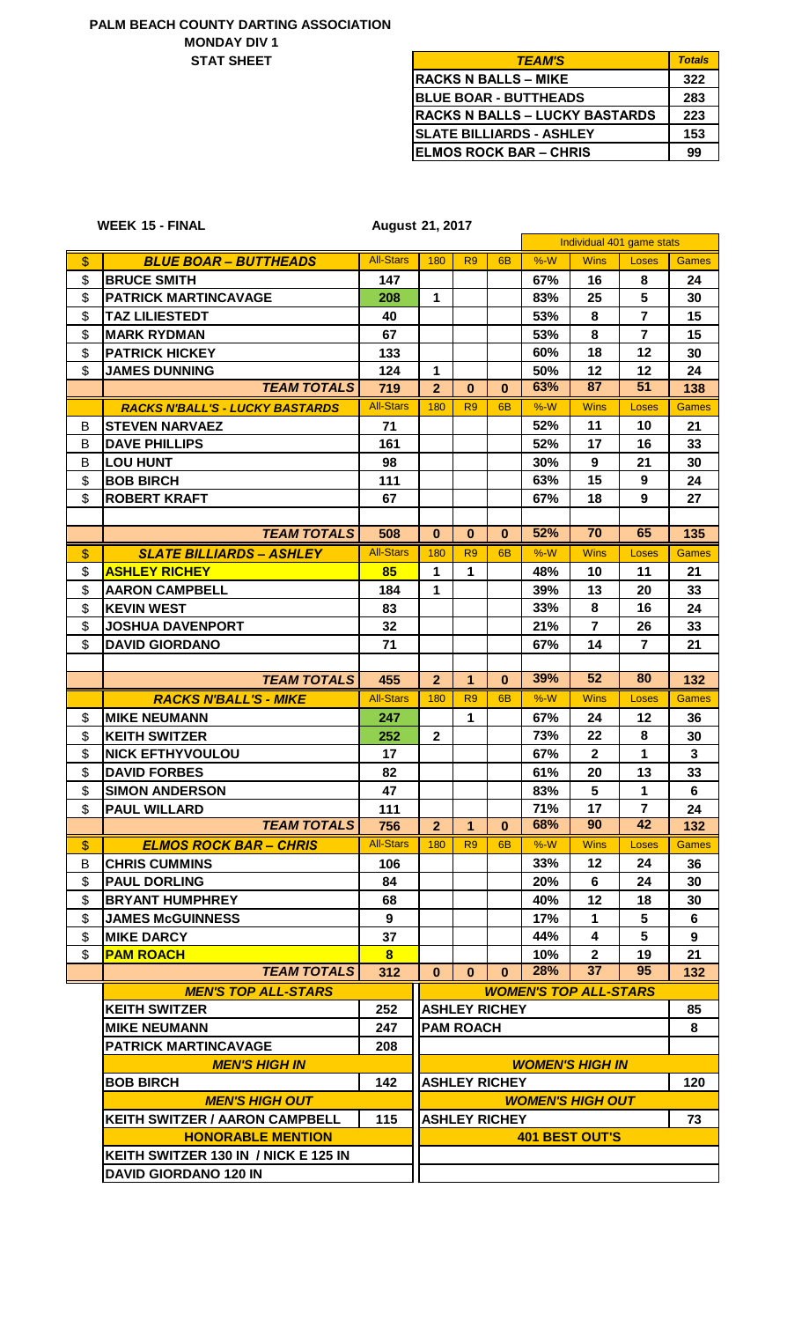## **PALM BEACH COUNTY DARTING ASSOCIATION STAT SHEET MONDAY DIV 1**

| <b>TEAM'S</b>                         | <b>Totals</b> |
|---------------------------------------|---------------|
| <b>RACKS N BALLS – MIKE</b>           | 322           |
| <b>BLUE BOAR - BUTTHEADS</b>          | 283           |
| <b>RACKS N BALLS – LUCKY BASTARDS</b> | 223           |
| <b>SLATE BILLIARDS - ASHLEY</b>       | 153           |
| <b>ELMOS ROCK BAR - CHRIS</b>         | 99            |

## **WEEK 15 - FINAL**

**15 - FINAL 21, 2017**

|                   |                                        |                         |                |                  |                      |       | Individual 401 game stats    |                  |              |
|-------------------|----------------------------------------|-------------------------|----------------|------------------|----------------------|-------|------------------------------|------------------|--------------|
| $\boldsymbol{\$}$ | <b>BLUE BOAR - BUTTHEADS</b>           | <b>All-Stars</b>        | 180            | R <sub>9</sub>   | 6 <sub>B</sub>       | $%-W$ | <b>Wins</b>                  | Loses            | <b>Games</b> |
| \$                | <b>BRUCE SMITH</b>                     | 147                     |                |                  |                      | 67%   | 16                           | 8                | 24           |
| \$                | <b>PATRICK MARTINCAVAGE</b>            | 208                     | 1              |                  |                      | 83%   | 25                           | 5                | 30           |
| \$                | <b>TAZ LILIESTEDT</b>                  | 40                      |                |                  |                      | 53%   | 8                            | $\overline{7}$   | 15           |
| \$                | <b>MARK RYDMAN</b>                     | 67                      |                |                  |                      | 53%   | 8                            | 7                | 15           |
| \$                | <b>PATRICK HICKEY</b>                  | 133                     |                |                  |                      | 60%   | 18                           | 12               | 30           |
| \$                | <b>JAMES DUNNING</b>                   | 124                     | 1              |                  |                      | 50%   | 12                           | 12               | 24           |
|                   | <b>TEAM TOTALS</b>                     | 719                     | $\overline{2}$ | $\bf{0}$         | $\bf{0}$             | 63%   | 87                           | 51               | 138          |
|                   | <b>RACKS N'BALL'S - LUCKY BASTARDS</b> | <b>All-Stars</b>        | 180            | R <sub>9</sub>   | 6 <sub>B</sub>       | $%-W$ | <b>Wins</b>                  | <b>Loses</b>     | <b>Games</b> |
| В                 | <b>STEVEN NARVAEZ</b>                  | 71                      |                |                  |                      | 52%   | 11                           | 10               | 21           |
| B                 | <b>DAVE PHILLIPS</b>                   | 161                     |                |                  |                      | 52%   | 17                           | 16               | 33           |
| B                 | <b>LOU HUNT</b>                        | 98                      |                |                  |                      | 30%   | 9                            | 21               | 30           |
| \$                | <b>BOB BIRCH</b>                       | 111                     |                |                  |                      | 63%   | 15                           | $\boldsymbol{9}$ | 24           |
| \$                | <b>ROBERT KRAFT</b>                    | 67                      |                |                  |                      | 67%   | 18                           | 9                | 27           |
|                   |                                        |                         |                |                  |                      |       |                              |                  |              |
|                   | <b>TEAM TOTALS</b>                     | 508                     | $\bf{0}$       | $\bf{0}$         | $\mathbf{0}$         | 52%   | 70                           | 65               | 135          |
| $\boldsymbol{\$}$ | <b>SLATE BILLIARDS - ASHLEY</b>        | <b>All-Stars</b>        | 180            | R <sub>9</sub>   | 6 <sub>B</sub>       | $%-W$ | <b>Wins</b>                  | <b>Loses</b>     | <b>Games</b> |
| \$                | <b>ASHLEY RICHEY</b>                   | 85                      | 1              | 1                |                      | 48%   | 10                           | 11               | 21           |
| \$                | <b>AARON CAMPBELL</b>                  | 184                     | $\mathbf{1}$   |                  |                      | 39%   | 13                           | 20               | 33           |
| \$                | <b>KEVIN WEST</b>                      | 83                      |                |                  |                      | 33%   | 8                            | 16               | 24           |
| \$                | <b>JOSHUA DAVENPORT</b>                | 32                      |                |                  |                      | 21%   | $\overline{7}$               | 26               | 33           |
| \$                | <b>DAVID GIORDANO</b>                  | 71                      |                |                  |                      | 67%   | 14                           | $\overline{7}$   | 21           |
|                   |                                        |                         |                |                  |                      |       |                              |                  |              |
|                   | <b>TEAM TOTALS</b>                     | 455                     | $\overline{2}$ | $\mathbf 1$      | $\bf{0}$             | 39%   | 52                           | 80               | 132          |
|                   | <b>RACKS N'BALL'S - MIKE</b>           | <b>All-Stars</b>        | 180            | R <sub>9</sub>   | 6 <sub>B</sub>       | $%-W$ | <b>Wins</b>                  | Loses            | <b>Games</b> |
| \$                | <b>MIKE NEUMANN</b>                    | 247                     |                | 1                |                      | 67%   | 24                           | 12               | 36           |
| \$                | <b>KEITH SWITZER</b>                   | 252                     | $\mathbf{2}$   |                  |                      | 73%   | 22                           | 8                | 30           |
| \$                | <b>NICK EFTHYVOULOU</b>                | 17                      |                |                  |                      | 67%   | $\mathbf{2}$                 | 1                | $\mathbf{3}$ |
| \$                | <b>DAVID FORBES</b>                    | 82                      |                |                  |                      | 61%   | 20                           | 13               | 33           |
| \$                | <b>SIMON ANDERSON</b>                  | 47                      |                |                  |                      | 83%   | 5                            | 1                | 6            |
| \$                | <b>PAUL WILLARD</b>                    | 111                     |                |                  |                      | 71%   | 17                           | $\overline{7}$   | 24           |
|                   | <b>TEAM TOTALS</b>                     | 756                     | 2 <sup>7</sup> | $\mathbf{1}$     | $\pmb{0}$            | 68%   | 90                           | 42               | 132          |
| \$                | <b>ELMOS ROCK BAR – CHRIS</b>          | <b>All-Stars</b>        | 180            | R <sub>9</sub>   | 6 <sub>B</sub>       | %W    | <b>Wins</b>                  | <b>Loses</b>     | <b>Games</b> |
| B                 | <b>CHRIS CUMMINS</b>                   | 106                     |                |                  |                      | 33%   | 12                           | 24               | 36           |
| \$                | <b>PAUL DORLING</b>                    | 84                      |                |                  |                      | 20%   | 6                            | 24               | 30           |
| \$                | <b>BRYANT HUMPHREY</b>                 | 68                      |                |                  |                      | 40%   | 12                           | 18               | 30           |
| \$                | <b>JAMES McGUINNESS</b>                | 9                       |                |                  |                      | 17%   | 1                            | 5                | 6            |
| \$                | <b>MIKE DARCY</b>                      | 37                      |                |                  |                      | 44%   | 4                            | 5                | 9            |
| \$                | <b>PAM ROACH</b>                       | $\overline{\mathbf{8}}$ |                |                  |                      | 10%   | $\mathbf{2}$                 | 19               | 21           |
|                   | <b>TEAM TOTALS</b>                     | 312                     | $\mathbf{0}$   | $\bf{0}$         | $\bf{0}$             | 28%   | 37                           | 95               | 132          |
|                   | <b>MEN'S TOP ALL-STARS</b>             |                         |                |                  |                      |       | <b>WOMEN'S TOP ALL-STARS</b> |                  |              |
|                   | <b>KEITH SWITZER</b>                   | 252                     |                |                  | <b>ASHLEY RICHEY</b> |       |                              |                  | 85           |
|                   | <b>MIKE NEUMANN</b>                    | 247                     |                | <b>PAM ROACH</b> |                      |       |                              |                  | 8            |
|                   | <b>PATRICK MARTINCAVAGE</b>            | 208                     |                |                  |                      |       |                              |                  |              |
|                   | <b>MEN'S HIGH IN</b>                   |                         |                |                  |                      |       | <b>WOMEN'S HIGH IN</b>       |                  |              |
|                   | <b>BOB BIRCH</b>                       | 142                     |                |                  | <b>ASHLEY RICHEY</b> |       |                              |                  | 120          |
|                   | <b>MEN'S HIGH OUT</b>                  |                         |                |                  |                      |       | <b>WOMEN'S HIGH OUT</b>      |                  |              |
|                   | <b>KEITH SWITZER / AARON CAMPBELL</b>  | 115                     |                |                  | <b>ASHLEY RICHEY</b> |       |                              |                  | 73           |
|                   | <b>HONORABLE MENTION</b>               |                         |                |                  |                      |       | <b>401 BEST OUT'S</b>        |                  |              |
|                   | KEITH SWITZER 130 IN / NICK E 125 IN   |                         |                |                  |                      |       |                              |                  |              |
|                   | <b>DAVID GIORDANO 120 IN</b>           |                         |                |                  |                      |       |                              |                  |              |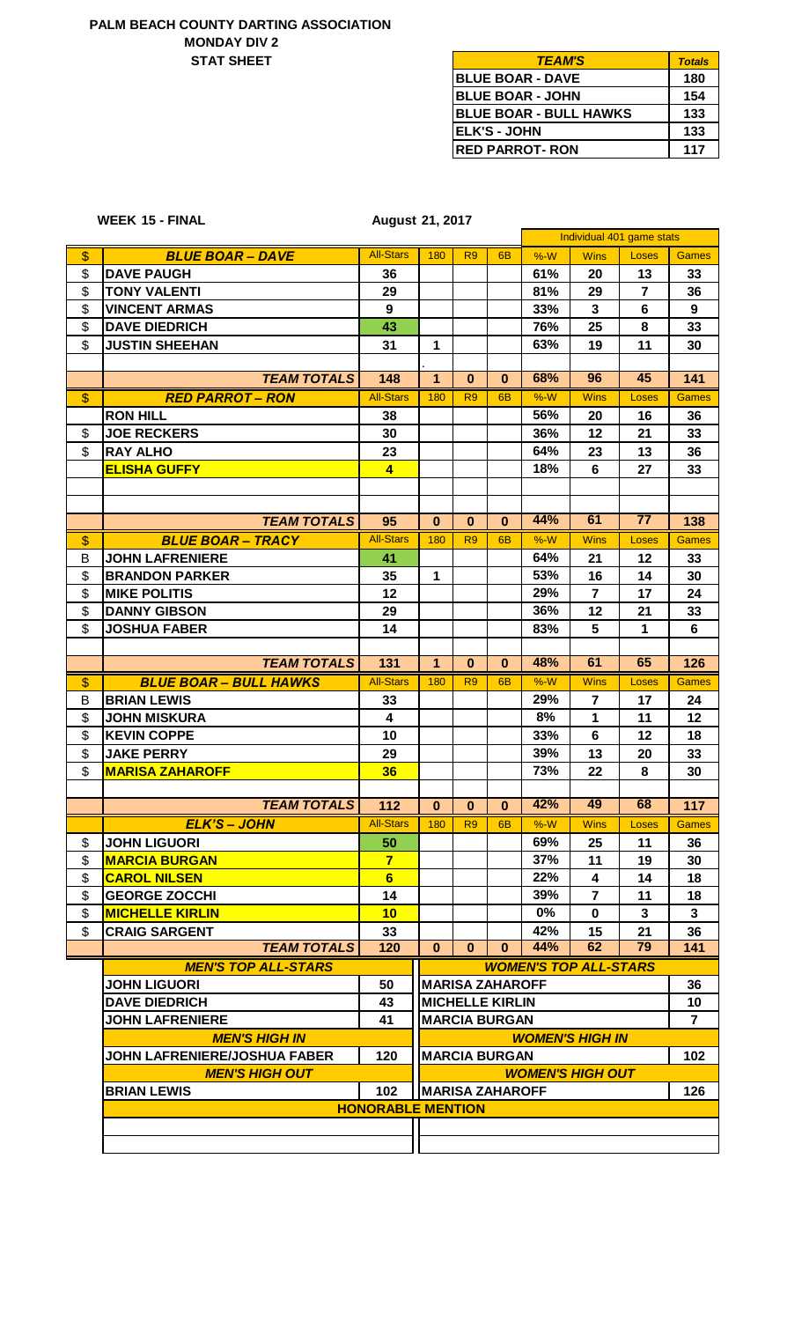### **STAT SHEET MONDAY DIV 2 PALM BEACH COUNTY DARTING ASSOCIATION**

**15 - FINAL WEEK**

| <b>TEAM'S</b>                 | <b>Totals</b> |
|-------------------------------|---------------|
| <b>BLUE BOAR - DAVE</b>       | 180           |
| <b>IBLUE BOAR - JOHN</b>      | 154           |
| <b>BLUE BOAR - BULL HAWKS</b> | 133           |
| <b>ELK'S - JOHN</b>           | 133           |
| <b>RED PARROT- RON</b>        | 117           |

| <b>August 21, 2017</b> |  |
|------------------------|--|
|                        |  |

|               |                                     |                          |                        |                        |                |       | Individual 401 game stats      |                 |                |  |
|---------------|-------------------------------------|--------------------------|------------------------|------------------------|----------------|-------|--------------------------------|-----------------|----------------|--|
| \$            | <b>BLUE BOAR - DAVE</b>             | <b>All-Stars</b>         | 180                    | R <sub>9</sub>         | 6 <sub>B</sub> | $%-W$ | <b>Wins</b>                    | Loses           | <b>Games</b>   |  |
| \$            | <b>DAVE PAUGH</b>                   | 36                       |                        |                        |                | 61%   | 20                             | 13              | 33             |  |
| \$            | <b>TONY VALENTI</b>                 | 29                       |                        |                        |                | 81%   | 29                             | $\overline{7}$  | 36             |  |
| \$            | <b>VINCENT ARMAS</b>                | 9                        |                        |                        |                | 33%   | $\mathbf{3}$                   | 6               | 9              |  |
| \$            | <b>DAVE DIEDRICH</b>                | 43                       |                        |                        |                | 76%   | 25                             | 8               | 33             |  |
| \$            | <b>JUSTIN SHEEHAN</b>               | 31                       | 1                      |                        |                | 63%   | 19                             | 11              | 30             |  |
|               |                                     |                          |                        |                        |                |       |                                |                 |                |  |
|               | <b>TEAM TOTALS</b>                  | 148                      | $\overline{1}$         | $\bf{0}$               | $\mathbf{0}$   | 68%   | 96                             | 45              | 141            |  |
| $\mathbf{\$}$ | <b>RED PARROT - RON</b>             | <b>All-Stars</b>         | 180                    | R <sub>9</sub>         | 6 <sub>B</sub> | $%-W$ | <b>Wins</b>                    | Loses           | <b>Games</b>   |  |
|               | <b>RON HILL</b>                     | 38                       |                        |                        |                | 56%   | 20                             | 16              | 36             |  |
| \$            | <b>JOE RECKERS</b>                  | 30                       |                        |                        |                | 36%   | 12                             | 21              | 33             |  |
| \$            | <b>RAY ALHO</b>                     | 23                       |                        |                        |                | 64%   | 23                             | 13              | 36             |  |
|               | <b>ELISHA GUFFY</b>                 | $\overline{4}$           |                        |                        |                | 18%   | 6                              | 27              | 33             |  |
|               |                                     |                          |                        |                        |                |       |                                |                 |                |  |
|               |                                     |                          |                        |                        |                |       |                                |                 |                |  |
|               | <b>TEAM TOTALS</b>                  | 95                       | $\bf{0}$               | $\mathbf 0$            | $\mathbf 0$    | 44%   | 61                             | $\overline{77}$ | 138            |  |
| $\frac{1}{2}$ | <b>BLUE BOAR - TRACY</b>            | <b>All-Stars</b>         | 180                    | R <sub>9</sub>         | 6B             | $%-W$ | <b>Wins</b>                    | Loses           | <b>Games</b>   |  |
| В             | <b>JOHN LAFRENIERE</b>              | 41                       |                        |                        |                | 64%   | 21                             | 12              | 33             |  |
| \$            | <b>BRANDON PARKER</b>               | 35                       | 1                      |                        |                | 53%   | 16                             | 14              | 30             |  |
| \$            | <b>MIKE POLITIS</b>                 | 12                       |                        |                        |                | 29%   | $\overline{7}$                 | 17              | 24             |  |
| \$            | <b>DANNY GIBSON</b>                 | 29                       |                        |                        |                | 36%   | 12                             | 21              | 33             |  |
| \$            | <b>JOSHUA FABER</b>                 | 14                       |                        |                        |                | 83%   | 5                              | 1               | 6              |  |
|               |                                     |                          |                        |                        |                |       |                                |                 |                |  |
|               | <b>TEAM TOTALS</b>                  | 131                      | $\mathbf{1}$           | $\bf{0}$               | $\bf{0}$       | 48%   | 61                             | 65              | 126            |  |
| $\frac{1}{2}$ | <b>BLUE BOAR - BULL HAWKS</b>       | <b>All-Stars</b>         | 180                    | R <sub>9</sub>         | 6 <sub>B</sub> | $%-W$ | <b>Wins</b>                    | Loses           | <b>Games</b>   |  |
| В             | <b>BRIAN LEWIS</b>                  | 33                       |                        |                        |                | 29%   | $\overline{7}$                 | 17              | 24             |  |
| \$            | <b>JOHN MISKURA</b>                 | $\overline{\mathbf{4}}$  |                        |                        |                | 8%    | 1                              | 11              | 12             |  |
| \$            | <b>KEVIN COPPE</b>                  | 10                       |                        |                        |                | 33%   | $6\phantom{1}$                 | 12              | 18             |  |
| \$            | <b>JAKE PERRY</b>                   | 29                       |                        |                        |                | 39%   | 13                             | 20              | 33             |  |
| \$            | <b>MARISA ZAHAROFF</b>              | 36                       |                        |                        |                | 73%   | 22                             | 8               | 30             |  |
|               |                                     |                          |                        |                        |                |       |                                |                 |                |  |
|               | <b>TEAM TOTALS</b>                  | 112                      | $\bf{0}$               | $\bf{0}$               | $\bf{0}$       | 42%   | 49                             | 68              | 117            |  |
|               | <b>ELK'S - JOHN</b>                 | <b>All-Stars</b>         | 180                    | R <sub>9</sub>         | 6B             | %W    | <b>Wins</b>                    | Loses           | <b>Games</b>   |  |
| \$            | <b>JOHN LIGUORI</b>                 | 50                       |                        |                        |                | 69%   | 25                             | 11              | 36             |  |
| \$            | <b>MARCIA BURGAN</b>                | $\overline{7}$           |                        |                        |                | 37%   | 11                             | 19              | 30             |  |
| \$            | <b>CAROL NILSEN</b>                 | 6                        |                        |                        |                | 22%   | 4                              | 14              | 18             |  |
| \$            | <b>GEORGE ZOCCHI</b>                | 14                       |                        |                        |                | 39%   | $\overline{7}$                 | 11              | 18             |  |
| \$            | <b>MICHELLE KIRLIN</b>              | 10                       |                        |                        |                | $0\%$ | $\bf{0}$                       | $\mathbf{3}$    | 3              |  |
| \$            | <b>CRAIG SARGENT</b>                | 33                       |                        |                        |                | 42%   | 15                             | 21              | 36             |  |
|               | <b>TEAM TOTALS</b>                  | 120                      | $\mathbf{0}$           | $\bf{0}$               | $\bf{0}$       | 44%   | 62                             | 79              | 141            |  |
|               | <b>MEN'S TOP ALL-STARS</b>          |                          |                        |                        |                |       | <b>WOMEN'S TOP ALL-STARS</b>   |                 |                |  |
|               | <b>JOHN LIGUORI</b>                 | 50                       | <b>MARISA ZAHAROFF</b> |                        |                |       |                                |                 |                |  |
|               | <b>DAVE DIEDRICH</b>                | 43                       |                        | <b>MICHELLE KIRLIN</b> |                |       |                                |                 | 36<br>10       |  |
|               | <b>JOHN LAFRENIERE</b>              | 41                       |                        | <b>MARCIA BURGAN</b>   |                |       |                                |                 | $\overline{7}$ |  |
|               | <b>MEN'S HIGH IN</b>                |                          |                        |                        |                |       | <b>WOMEN'S HIGH IN</b>         |                 |                |  |
|               | <b>JOHN LAFRENIERE/JOSHUA FABER</b> | 120                      |                        | <b>MARCIA BURGAN</b>   |                |       |                                |                 | 102            |  |
|               | <b>MEN'S HIGH OUT</b>               |                          |                        |                        |                |       | <i><b>WOMEN'S HIGH OUT</b></i> |                 |                |  |
|               | <b>BRIAN LEWIS</b>                  | 102                      |                        | <b>MARISA ZAHAROFF</b> |                |       |                                |                 | 126            |  |
|               |                                     | <b>HONORABLE MENTION</b> |                        |                        |                |       |                                |                 |                |  |
|               |                                     |                          |                        |                        |                |       |                                |                 |                |  |
|               |                                     |                          |                        |                        |                |       |                                |                 |                |  |
|               |                                     |                          |                        |                        |                |       |                                |                 |                |  |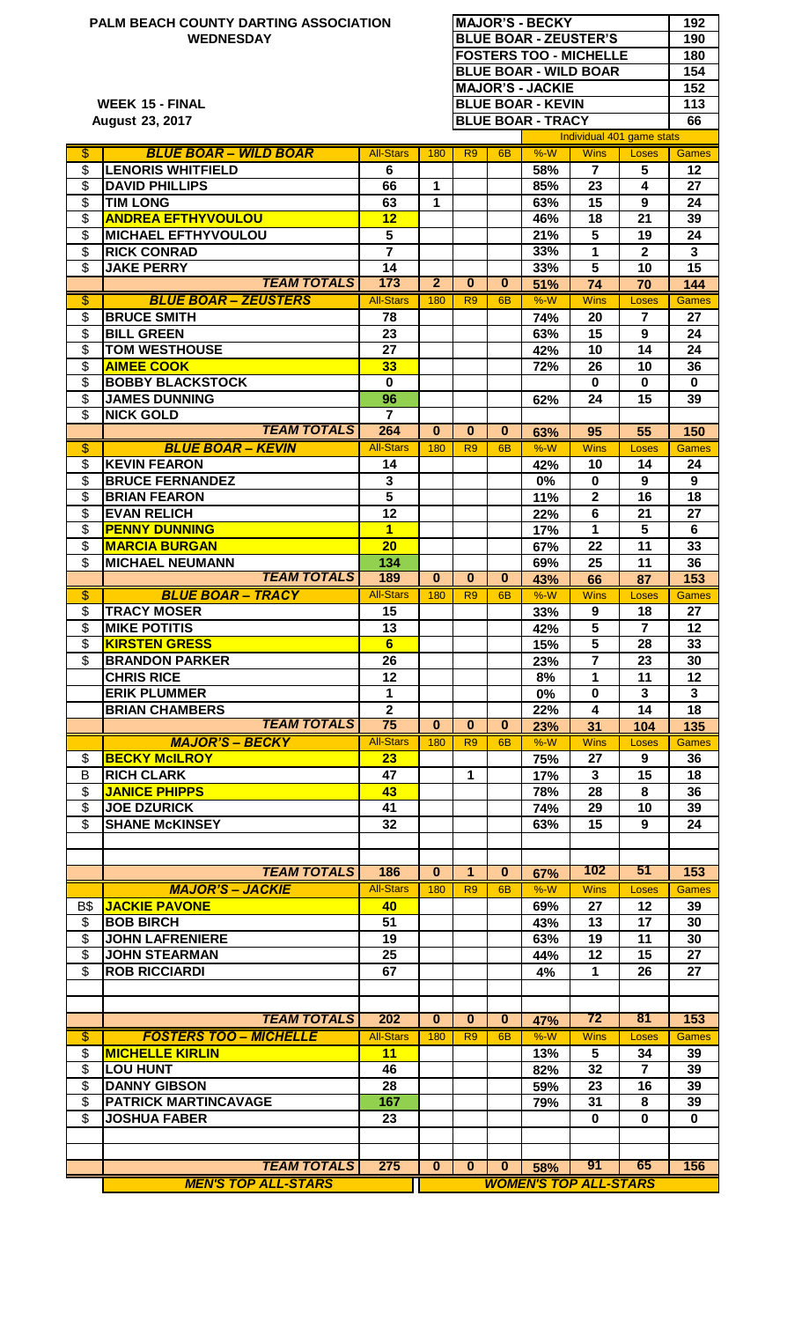| $\overline{\mathcal{S}}$<br>\$<br>\$<br>\$<br>\$<br>\$<br>\$<br>$\overline{\mathcal{S}}$<br>$\boldsymbol{\mathsf{S}}$<br>\$<br>\$<br>\$<br>$\overline{\mathcal{S}}$<br>\$<br>\$<br>\$<br>$\overline{\mathcal{E}}$<br>\$<br>\$<br>\$<br>\$<br>\$<br>\$<br>\$<br>\$ | <b>WEDNESDAY</b><br><b>WEEK 15 - FINAL</b><br><b>August 23, 2017</b><br><b>BLUE BOAR - WILD BOAR</b><br><b>LENORIS WHITFIELD</b><br><b>DAVID PHILLIPS</b><br><b>TIM LONG</b><br><b>ANDREA EFTHYVOULOU</b><br><b>MICHAEL EFTHYVOULOU</b><br><b>RICK CONRAD</b><br><b>JAKE PERRY</b><br><b>TEAM TOTALS</b><br><b>BLUE BOAR - ZEUSTERS</b><br><b>BRUCE SMITH</b><br><b>BILL GREEN</b><br><b>TOM WESTHOUSE</b><br><b>AIMEE COOK</b><br><b>BOBBY BLACKSTOCK</b><br><b>JAMES DUNNING</b><br><b>NICK GOLD</b><br><b>TEAM TOTALS</b><br><b>BLUE BOAR - KEVIN</b><br><b>KEVIN FEARON</b><br><b>BRUCE FERNANDEZ</b><br><b>BRIAN FEARON</b><br><b>EVAN RELICH</b><br><b>PENNY DUNNING</b><br><b>MARCIA BURGAN</b><br><b>MICHAEL NEUMANN</b> | <b>All-Stars</b><br>6<br>66<br>63<br>12<br>5<br>$\overline{\mathbf{7}}$<br>14<br>$\overline{173}$<br><b>All-Stars</b><br>78<br>23<br>27<br>33<br>$\bf{0}$<br>96<br>$\overline{7}$<br>264<br><b>All-Stars</b><br>14<br>3<br>$\overline{\mathbf{5}}$<br>12<br>$\mathbf 1$<br>20 | 180<br>1<br>1<br>$\overline{2}$<br>180<br>$\bf{0}$<br>180 | R <sub>9</sub><br>$\mathbf{0}$<br>R <sub>9</sub><br>$\bf{0}$<br>R <sub>9</sub> | 6 <sub>B</sub><br>$\mathbf{0}$<br>6 <sub>B</sub><br>$\bf{0}$<br>6 <sub>B</sub> | <b>MAJOR'S - JACKIE</b><br><b>BLUE BOAR - KEVIN</b><br><b>BLUE BOAR - TRACY</b><br>%W<br>58%<br>85%<br>63%<br>46%<br>21%<br>33%<br>33%<br>51%<br>$%-W$<br>74%<br>63%<br>42%<br>72%<br>62%<br>63%<br>$%-W$<br>42%<br>0% | <b>BLUE BOAR - ZEUSTER'S</b><br><b>FOSTERS TOO - MICHELLE</b><br><b>BLUE BOAR - WILD BOAR</b><br><b>Wins</b><br>$\overline{7}$<br>23<br>15<br>18<br>5<br>1<br>5<br>74<br><b>Wins</b><br>20<br>15<br>10<br>26<br>$\bf{0}$<br>24<br>95<br><b>Wins</b><br>10<br>0 | Individual 401 game stats<br>Loses<br>5<br>4<br>9<br>21<br>19<br>$\mathbf{2}$<br>10<br>70<br>Loses<br>$\overline{7}$<br>9<br>14<br>10<br>$\bf{0}$<br>15<br>55<br>Loses<br>14<br>9 | 190<br>180<br>154<br>152<br>113<br>66<br><b>Games</b><br>12<br>27<br>24<br>39<br>24<br>$\mathbf{3}$<br>15<br>144<br><b>Games</b><br>27<br>24<br>24<br>36<br>$\bf{0}$<br>39<br>150<br><b>Games</b><br>24<br>9 |
|-------------------------------------------------------------------------------------------------------------------------------------------------------------------------------------------------------------------------------------------------------------------|----------------------------------------------------------------------------------------------------------------------------------------------------------------------------------------------------------------------------------------------------------------------------------------------------------------------------------------------------------------------------------------------------------------------------------------------------------------------------------------------------------------------------------------------------------------------------------------------------------------------------------------------------------------------------------------------------------------------------------|-------------------------------------------------------------------------------------------------------------------------------------------------------------------------------------------------------------------------------------------------------------------------------|-----------------------------------------------------------|--------------------------------------------------------------------------------|--------------------------------------------------------------------------------|------------------------------------------------------------------------------------------------------------------------------------------------------------------------------------------------------------------------|----------------------------------------------------------------------------------------------------------------------------------------------------------------------------------------------------------------------------------------------------------------|-----------------------------------------------------------------------------------------------------------------------------------------------------------------------------------|--------------------------------------------------------------------------------------------------------------------------------------------------------------------------------------------------------------|
|                                                                                                                                                                                                                                                                   |                                                                                                                                                                                                                                                                                                                                                                                                                                                                                                                                                                                                                                                                                                                                  |                                                                                                                                                                                                                                                                               |                                                           |                                                                                |                                                                                |                                                                                                                                                                                                                        |                                                                                                                                                                                                                                                                |                                                                                                                                                                                   |                                                                                                                                                                                                              |
|                                                                                                                                                                                                                                                                   |                                                                                                                                                                                                                                                                                                                                                                                                                                                                                                                                                                                                                                                                                                                                  |                                                                                                                                                                                                                                                                               |                                                           |                                                                                |                                                                                |                                                                                                                                                                                                                        |                                                                                                                                                                                                                                                                |                                                                                                                                                                                   |                                                                                                                                                                                                              |
|                                                                                                                                                                                                                                                                   |                                                                                                                                                                                                                                                                                                                                                                                                                                                                                                                                                                                                                                                                                                                                  |                                                                                                                                                                                                                                                                               |                                                           |                                                                                |                                                                                |                                                                                                                                                                                                                        |                                                                                                                                                                                                                                                                |                                                                                                                                                                                   |                                                                                                                                                                                                              |
|                                                                                                                                                                                                                                                                   |                                                                                                                                                                                                                                                                                                                                                                                                                                                                                                                                                                                                                                                                                                                                  |                                                                                                                                                                                                                                                                               |                                                           |                                                                                |                                                                                |                                                                                                                                                                                                                        |                                                                                                                                                                                                                                                                |                                                                                                                                                                                   |                                                                                                                                                                                                              |
|                                                                                                                                                                                                                                                                   |                                                                                                                                                                                                                                                                                                                                                                                                                                                                                                                                                                                                                                                                                                                                  |                                                                                                                                                                                                                                                                               |                                                           |                                                                                |                                                                                |                                                                                                                                                                                                                        |                                                                                                                                                                                                                                                                |                                                                                                                                                                                   |                                                                                                                                                                                                              |
|                                                                                                                                                                                                                                                                   |                                                                                                                                                                                                                                                                                                                                                                                                                                                                                                                                                                                                                                                                                                                                  |                                                                                                                                                                                                                                                                               |                                                           |                                                                                |                                                                                |                                                                                                                                                                                                                        |                                                                                                                                                                                                                                                                |                                                                                                                                                                                   |                                                                                                                                                                                                              |
|                                                                                                                                                                                                                                                                   |                                                                                                                                                                                                                                                                                                                                                                                                                                                                                                                                                                                                                                                                                                                                  |                                                                                                                                                                                                                                                                               |                                                           |                                                                                |                                                                                |                                                                                                                                                                                                                        |                                                                                                                                                                                                                                                                |                                                                                                                                                                                   |                                                                                                                                                                                                              |
|                                                                                                                                                                                                                                                                   |                                                                                                                                                                                                                                                                                                                                                                                                                                                                                                                                                                                                                                                                                                                                  |                                                                                                                                                                                                                                                                               |                                                           |                                                                                |                                                                                |                                                                                                                                                                                                                        |                                                                                                                                                                                                                                                                |                                                                                                                                                                                   |                                                                                                                                                                                                              |
|                                                                                                                                                                                                                                                                   |                                                                                                                                                                                                                                                                                                                                                                                                                                                                                                                                                                                                                                                                                                                                  |                                                                                                                                                                                                                                                                               |                                                           |                                                                                |                                                                                |                                                                                                                                                                                                                        |                                                                                                                                                                                                                                                                |                                                                                                                                                                                   |                                                                                                                                                                                                              |
|                                                                                                                                                                                                                                                                   |                                                                                                                                                                                                                                                                                                                                                                                                                                                                                                                                                                                                                                                                                                                                  |                                                                                                                                                                                                                                                                               |                                                           |                                                                                |                                                                                |                                                                                                                                                                                                                        |                                                                                                                                                                                                                                                                |                                                                                                                                                                                   |                                                                                                                                                                                                              |
|                                                                                                                                                                                                                                                                   |                                                                                                                                                                                                                                                                                                                                                                                                                                                                                                                                                                                                                                                                                                                                  |                                                                                                                                                                                                                                                                               |                                                           |                                                                                |                                                                                |                                                                                                                                                                                                                        |                                                                                                                                                                                                                                                                |                                                                                                                                                                                   |                                                                                                                                                                                                              |
|                                                                                                                                                                                                                                                                   |                                                                                                                                                                                                                                                                                                                                                                                                                                                                                                                                                                                                                                                                                                                                  |                                                                                                                                                                                                                                                                               |                                                           |                                                                                |                                                                                |                                                                                                                                                                                                                        |                                                                                                                                                                                                                                                                |                                                                                                                                                                                   |                                                                                                                                                                                                              |
|                                                                                                                                                                                                                                                                   |                                                                                                                                                                                                                                                                                                                                                                                                                                                                                                                                                                                                                                                                                                                                  |                                                                                                                                                                                                                                                                               |                                                           |                                                                                |                                                                                |                                                                                                                                                                                                                        |                                                                                                                                                                                                                                                                |                                                                                                                                                                                   |                                                                                                                                                                                                              |
|                                                                                                                                                                                                                                                                   |                                                                                                                                                                                                                                                                                                                                                                                                                                                                                                                                                                                                                                                                                                                                  |                                                                                                                                                                                                                                                                               |                                                           |                                                                                |                                                                                |                                                                                                                                                                                                                        |                                                                                                                                                                                                                                                                |                                                                                                                                                                                   |                                                                                                                                                                                                              |
|                                                                                                                                                                                                                                                                   |                                                                                                                                                                                                                                                                                                                                                                                                                                                                                                                                                                                                                                                                                                                                  |                                                                                                                                                                                                                                                                               |                                                           |                                                                                |                                                                                |                                                                                                                                                                                                                        |                                                                                                                                                                                                                                                                |                                                                                                                                                                                   |                                                                                                                                                                                                              |
|                                                                                                                                                                                                                                                                   |                                                                                                                                                                                                                                                                                                                                                                                                                                                                                                                                                                                                                                                                                                                                  |                                                                                                                                                                                                                                                                               |                                                           |                                                                                |                                                                                |                                                                                                                                                                                                                        |                                                                                                                                                                                                                                                                |                                                                                                                                                                                   |                                                                                                                                                                                                              |
|                                                                                                                                                                                                                                                                   |                                                                                                                                                                                                                                                                                                                                                                                                                                                                                                                                                                                                                                                                                                                                  |                                                                                                                                                                                                                                                                               |                                                           |                                                                                |                                                                                |                                                                                                                                                                                                                        |                                                                                                                                                                                                                                                                |                                                                                                                                                                                   |                                                                                                                                                                                                              |
|                                                                                                                                                                                                                                                                   |                                                                                                                                                                                                                                                                                                                                                                                                                                                                                                                                                                                                                                                                                                                                  |                                                                                                                                                                                                                                                                               |                                                           |                                                                                |                                                                                |                                                                                                                                                                                                                        |                                                                                                                                                                                                                                                                |                                                                                                                                                                                   |                                                                                                                                                                                                              |
|                                                                                                                                                                                                                                                                   |                                                                                                                                                                                                                                                                                                                                                                                                                                                                                                                                                                                                                                                                                                                                  |                                                                                                                                                                                                                                                                               |                                                           |                                                                                |                                                                                |                                                                                                                                                                                                                        |                                                                                                                                                                                                                                                                |                                                                                                                                                                                   |                                                                                                                                                                                                              |
|                                                                                                                                                                                                                                                                   |                                                                                                                                                                                                                                                                                                                                                                                                                                                                                                                                                                                                                                                                                                                                  |                                                                                                                                                                                                                                                                               |                                                           |                                                                                |                                                                                |                                                                                                                                                                                                                        |                                                                                                                                                                                                                                                                |                                                                                                                                                                                   |                                                                                                                                                                                                              |
|                                                                                                                                                                                                                                                                   |                                                                                                                                                                                                                                                                                                                                                                                                                                                                                                                                                                                                                                                                                                                                  |                                                                                                                                                                                                                                                                               |                                                           |                                                                                |                                                                                |                                                                                                                                                                                                                        |                                                                                                                                                                                                                                                                |                                                                                                                                                                                   |                                                                                                                                                                                                              |
|                                                                                                                                                                                                                                                                   |                                                                                                                                                                                                                                                                                                                                                                                                                                                                                                                                                                                                                                                                                                                                  |                                                                                                                                                                                                                                                                               |                                                           |                                                                                |                                                                                |                                                                                                                                                                                                                        |                                                                                                                                                                                                                                                                |                                                                                                                                                                                   |                                                                                                                                                                                                              |
|                                                                                                                                                                                                                                                                   |                                                                                                                                                                                                                                                                                                                                                                                                                                                                                                                                                                                                                                                                                                                                  |                                                                                                                                                                                                                                                                               |                                                           |                                                                                |                                                                                |                                                                                                                                                                                                                        |                                                                                                                                                                                                                                                                |                                                                                                                                                                                   |                                                                                                                                                                                                              |
|                                                                                                                                                                                                                                                                   |                                                                                                                                                                                                                                                                                                                                                                                                                                                                                                                                                                                                                                                                                                                                  |                                                                                                                                                                                                                                                                               |                                                           |                                                                                |                                                                                |                                                                                                                                                                                                                        |                                                                                                                                                                                                                                                                |                                                                                                                                                                                   |                                                                                                                                                                                                              |
|                                                                                                                                                                                                                                                                   |                                                                                                                                                                                                                                                                                                                                                                                                                                                                                                                                                                                                                                                                                                                                  |                                                                                                                                                                                                                                                                               |                                                           |                                                                                |                                                                                |                                                                                                                                                                                                                        |                                                                                                                                                                                                                                                                |                                                                                                                                                                                   |                                                                                                                                                                                                              |
|                                                                                                                                                                                                                                                                   |                                                                                                                                                                                                                                                                                                                                                                                                                                                                                                                                                                                                                                                                                                                                  |                                                                                                                                                                                                                                                                               |                                                           |                                                                                |                                                                                | 11%                                                                                                                                                                                                                    | $\overline{2}$                                                                                                                                                                                                                                                 | 16                                                                                                                                                                                | 18                                                                                                                                                                                                           |
|                                                                                                                                                                                                                                                                   |                                                                                                                                                                                                                                                                                                                                                                                                                                                                                                                                                                                                                                                                                                                                  |                                                                                                                                                                                                                                                                               |                                                           |                                                                                |                                                                                | 22%                                                                                                                                                                                                                    | 6                                                                                                                                                                                                                                                              | 21                                                                                                                                                                                | 27                                                                                                                                                                                                           |
|                                                                                                                                                                                                                                                                   |                                                                                                                                                                                                                                                                                                                                                                                                                                                                                                                                                                                                                                                                                                                                  |                                                                                                                                                                                                                                                                               |                                                           |                                                                                |                                                                                | 17%                                                                                                                                                                                                                    | 1                                                                                                                                                                                                                                                              | 5                                                                                                                                                                                 | 6                                                                                                                                                                                                            |
|                                                                                                                                                                                                                                                                   |                                                                                                                                                                                                                                                                                                                                                                                                                                                                                                                                                                                                                                                                                                                                  |                                                                                                                                                                                                                                                                               |                                                           |                                                                                |                                                                                | 67%                                                                                                                                                                                                                    | 22                                                                                                                                                                                                                                                             | 11                                                                                                                                                                                | 33                                                                                                                                                                                                           |
|                                                                                                                                                                                                                                                                   | <b>TEAM TOTALS</b>                                                                                                                                                                                                                                                                                                                                                                                                                                                                                                                                                                                                                                                                                                               | 134<br>189                                                                                                                                                                                                                                                                    | $\bf{0}$                                                  | $\bf{0}$                                                                       | $\mathbf{0}$                                                                   | 69%                                                                                                                                                                                                                    | 25                                                                                                                                                                                                                                                             | 11                                                                                                                                                                                | 36                                                                                                                                                                                                           |
|                                                                                                                                                                                                                                                                   | <b>BLUE BOAR - TRACY</b>                                                                                                                                                                                                                                                                                                                                                                                                                                                                                                                                                                                                                                                                                                         | <b>All-Stars</b>                                                                                                                                                                                                                                                              | 180                                                       | R <sub>9</sub>                                                                 | 6 <sub>B</sub>                                                                 | 43%<br>$%-W$                                                                                                                                                                                                           | 66<br><b>Wins</b>                                                                                                                                                                                                                                              | 87<br>Loses                                                                                                                                                                       | 153<br><b>Games</b>                                                                                                                                                                                          |
| \$                                                                                                                                                                                                                                                                | <b>TRACY MOSER</b>                                                                                                                                                                                                                                                                                                                                                                                                                                                                                                                                                                                                                                                                                                               | 15                                                                                                                                                                                                                                                                            |                                                           |                                                                                |                                                                                | 33%                                                                                                                                                                                                                    | 9                                                                                                                                                                                                                                                              | 18                                                                                                                                                                                | 27                                                                                                                                                                                                           |
| \$                                                                                                                                                                                                                                                                | <b>MIKE POTITIS</b>                                                                                                                                                                                                                                                                                                                                                                                                                                                                                                                                                                                                                                                                                                              | 13                                                                                                                                                                                                                                                                            |                                                           |                                                                                |                                                                                | 42%                                                                                                                                                                                                                    | 5                                                                                                                                                                                                                                                              | $\overline{7}$                                                                                                                                                                    | $12 \,$                                                                                                                                                                                                      |
| \$                                                                                                                                                                                                                                                                | <b>KIRSTEN GRESS</b>                                                                                                                                                                                                                                                                                                                                                                                                                                                                                                                                                                                                                                                                                                             | 6                                                                                                                                                                                                                                                                             |                                                           |                                                                                |                                                                                | 15%                                                                                                                                                                                                                    | 5                                                                                                                                                                                                                                                              | 28                                                                                                                                                                                | 33                                                                                                                                                                                                           |
| \$                                                                                                                                                                                                                                                                | <b>BRANDON PARKER</b>                                                                                                                                                                                                                                                                                                                                                                                                                                                                                                                                                                                                                                                                                                            | 26                                                                                                                                                                                                                                                                            |                                                           |                                                                                |                                                                                | 23%                                                                                                                                                                                                                    | $\overline{7}$                                                                                                                                                                                                                                                 | 23                                                                                                                                                                                | 30                                                                                                                                                                                                           |
|                                                                                                                                                                                                                                                                   | <b>CHRIS RICE</b>                                                                                                                                                                                                                                                                                                                                                                                                                                                                                                                                                                                                                                                                                                                | 12                                                                                                                                                                                                                                                                            |                                                           |                                                                                |                                                                                | 8%                                                                                                                                                                                                                     | 1                                                                                                                                                                                                                                                              | 11                                                                                                                                                                                | 12                                                                                                                                                                                                           |
|                                                                                                                                                                                                                                                                   | <b>ERIK PLUMMER</b>                                                                                                                                                                                                                                                                                                                                                                                                                                                                                                                                                                                                                                                                                                              | $\mathbf{1}$                                                                                                                                                                                                                                                                  |                                                           |                                                                                |                                                                                | 0%                                                                                                                                                                                                                     | $\mathbf 0$                                                                                                                                                                                                                                                    | 3                                                                                                                                                                                 | $\mathbf{3}$                                                                                                                                                                                                 |
|                                                                                                                                                                                                                                                                   | <b>BRIAN CHAMBERS</b>                                                                                                                                                                                                                                                                                                                                                                                                                                                                                                                                                                                                                                                                                                            | $\overline{2}$                                                                                                                                                                                                                                                                |                                                           |                                                                                |                                                                                | 22%                                                                                                                                                                                                                    | 4                                                                                                                                                                                                                                                              | 14                                                                                                                                                                                | 18                                                                                                                                                                                                           |
|                                                                                                                                                                                                                                                                   | <b>TEAM TOTALS</b>                                                                                                                                                                                                                                                                                                                                                                                                                                                                                                                                                                                                                                                                                                               | $\overline{75}$                                                                                                                                                                                                                                                               | $\bf{0}$                                                  | $\mathbf{0}$                                                                   | $\bf{0}$                                                                       | 23%                                                                                                                                                                                                                    | 31                                                                                                                                                                                                                                                             | 104                                                                                                                                                                               | 135                                                                                                                                                                                                          |
| \$                                                                                                                                                                                                                                                                | <b>MAJOR'S - BECKY</b><br><b>BECKY McILROY</b>                                                                                                                                                                                                                                                                                                                                                                                                                                                                                                                                                                                                                                                                                   | <b>All-Stars</b><br>23                                                                                                                                                                                                                                                        | 180                                                       | R <sub>9</sub>                                                                 | 6 <sub>B</sub>                                                                 | $%-W$                                                                                                                                                                                                                  | <b>Wins</b><br>27                                                                                                                                                                                                                                              | Loses<br>9                                                                                                                                                                        | <b>Games</b><br>36                                                                                                                                                                                           |
| B                                                                                                                                                                                                                                                                 | <b>RICH CLARK</b>                                                                                                                                                                                                                                                                                                                                                                                                                                                                                                                                                                                                                                                                                                                | 47                                                                                                                                                                                                                                                                            |                                                           | 1                                                                              |                                                                                | 75%<br>17%                                                                                                                                                                                                             | 3                                                                                                                                                                                                                                                              | 15                                                                                                                                                                                | 18                                                                                                                                                                                                           |
| \$                                                                                                                                                                                                                                                                | <b>JANICE PHIPPS</b>                                                                                                                                                                                                                                                                                                                                                                                                                                                                                                                                                                                                                                                                                                             | 43                                                                                                                                                                                                                                                                            |                                                           |                                                                                |                                                                                | 78%                                                                                                                                                                                                                    | 28                                                                                                                                                                                                                                                             | 8                                                                                                                                                                                 | 36                                                                                                                                                                                                           |
| \$                                                                                                                                                                                                                                                                | <b>JOE DZURICK</b>                                                                                                                                                                                                                                                                                                                                                                                                                                                                                                                                                                                                                                                                                                               | 41                                                                                                                                                                                                                                                                            |                                                           |                                                                                |                                                                                | 74%                                                                                                                                                                                                                    | 29                                                                                                                                                                                                                                                             | 10                                                                                                                                                                                | 39                                                                                                                                                                                                           |
| \$                                                                                                                                                                                                                                                                | <b>SHANE McKINSEY</b>                                                                                                                                                                                                                                                                                                                                                                                                                                                                                                                                                                                                                                                                                                            | 32                                                                                                                                                                                                                                                                            |                                                           |                                                                                |                                                                                | 63%                                                                                                                                                                                                                    | 15                                                                                                                                                                                                                                                             | 9                                                                                                                                                                                 | 24                                                                                                                                                                                                           |
|                                                                                                                                                                                                                                                                   |                                                                                                                                                                                                                                                                                                                                                                                                                                                                                                                                                                                                                                                                                                                                  |                                                                                                                                                                                                                                                                               |                                                           |                                                                                |                                                                                |                                                                                                                                                                                                                        |                                                                                                                                                                                                                                                                |                                                                                                                                                                                   |                                                                                                                                                                                                              |
|                                                                                                                                                                                                                                                                   |                                                                                                                                                                                                                                                                                                                                                                                                                                                                                                                                                                                                                                                                                                                                  |                                                                                                                                                                                                                                                                               |                                                           |                                                                                |                                                                                |                                                                                                                                                                                                                        |                                                                                                                                                                                                                                                                |                                                                                                                                                                                   |                                                                                                                                                                                                              |
|                                                                                                                                                                                                                                                                   | <b>TEAM TOTALS</b>                                                                                                                                                                                                                                                                                                                                                                                                                                                                                                                                                                                                                                                                                                               | 186                                                                                                                                                                                                                                                                           | $\bf{0}$                                                  | 1                                                                              | $\bf{0}$                                                                       | 67%                                                                                                                                                                                                                    | 102                                                                                                                                                                                                                                                            | 51                                                                                                                                                                                | 153                                                                                                                                                                                                          |
|                                                                                                                                                                                                                                                                   | <b>MAJOR'S - JACKIE</b>                                                                                                                                                                                                                                                                                                                                                                                                                                                                                                                                                                                                                                                                                                          | <b>All-Stars</b>                                                                                                                                                                                                                                                              | 180                                                       | R <sub>9</sub>                                                                 | 6 <sub>B</sub>                                                                 | $%-W$                                                                                                                                                                                                                  | <b>Wins</b>                                                                                                                                                                                                                                                    | Loses                                                                                                                                                                             | <b>Games</b>                                                                                                                                                                                                 |
| B\$<br>\$                                                                                                                                                                                                                                                         | <b>JACKIE PAVONE</b><br><b>BOB BIRCH</b>                                                                                                                                                                                                                                                                                                                                                                                                                                                                                                                                                                                                                                                                                         | 40<br>51                                                                                                                                                                                                                                                                      |                                                           |                                                                                |                                                                                | 69%                                                                                                                                                                                                                    | 27<br>13                                                                                                                                                                                                                                                       | 12<br>17                                                                                                                                                                          | 39                                                                                                                                                                                                           |
| \$                                                                                                                                                                                                                                                                | <b>JOHN LAFRENIERE</b>                                                                                                                                                                                                                                                                                                                                                                                                                                                                                                                                                                                                                                                                                                           | 19                                                                                                                                                                                                                                                                            |                                                           |                                                                                |                                                                                | 43%<br>63%                                                                                                                                                                                                             | 19                                                                                                                                                                                                                                                             | 11                                                                                                                                                                                | 30<br>30                                                                                                                                                                                                     |
| $\overline{\mathcal{S}}$                                                                                                                                                                                                                                          | <b>JOHN STEARMAN</b>                                                                                                                                                                                                                                                                                                                                                                                                                                                                                                                                                                                                                                                                                                             | 25                                                                                                                                                                                                                                                                            |                                                           |                                                                                |                                                                                | 44%                                                                                                                                                                                                                    | 12                                                                                                                                                                                                                                                             | 15                                                                                                                                                                                | 27                                                                                                                                                                                                           |
| \$                                                                                                                                                                                                                                                                | <b>ROB RICCIARDI</b>                                                                                                                                                                                                                                                                                                                                                                                                                                                                                                                                                                                                                                                                                                             | 67                                                                                                                                                                                                                                                                            |                                                           |                                                                                |                                                                                | 4%                                                                                                                                                                                                                     | 1                                                                                                                                                                                                                                                              | 26                                                                                                                                                                                | 27                                                                                                                                                                                                           |
|                                                                                                                                                                                                                                                                   |                                                                                                                                                                                                                                                                                                                                                                                                                                                                                                                                                                                                                                                                                                                                  |                                                                                                                                                                                                                                                                               |                                                           |                                                                                |                                                                                |                                                                                                                                                                                                                        |                                                                                                                                                                                                                                                                |                                                                                                                                                                                   |                                                                                                                                                                                                              |
|                                                                                                                                                                                                                                                                   |                                                                                                                                                                                                                                                                                                                                                                                                                                                                                                                                                                                                                                                                                                                                  |                                                                                                                                                                                                                                                                               |                                                           |                                                                                |                                                                                |                                                                                                                                                                                                                        |                                                                                                                                                                                                                                                                |                                                                                                                                                                                   |                                                                                                                                                                                                              |
|                                                                                                                                                                                                                                                                   | <b>TEAM TOTALS</b>                                                                                                                                                                                                                                                                                                                                                                                                                                                                                                                                                                                                                                                                                                               | 202                                                                                                                                                                                                                                                                           | $\bf{0}$                                                  | $\bf{0}$                                                                       | $\mathbf{0}$                                                                   | 47%                                                                                                                                                                                                                    | 72                                                                                                                                                                                                                                                             | 81                                                                                                                                                                                | 153                                                                                                                                                                                                          |
| $\overline{\$}$                                                                                                                                                                                                                                                   | <b>FOSTERS TOO - MICHELLE</b>                                                                                                                                                                                                                                                                                                                                                                                                                                                                                                                                                                                                                                                                                                    | <b>All-Stars</b>                                                                                                                                                                                                                                                              | 180                                                       | R <sub>9</sub>                                                                 | 6 <sub>B</sub>                                                                 | $%-W$                                                                                                                                                                                                                  | <b>Wins</b>                                                                                                                                                                                                                                                    | Loses                                                                                                                                                                             | <b>Games</b>                                                                                                                                                                                                 |
| \$                                                                                                                                                                                                                                                                | <b>MICHELLE KIRLIN</b>                                                                                                                                                                                                                                                                                                                                                                                                                                                                                                                                                                                                                                                                                                           | 11                                                                                                                                                                                                                                                                            |                                                           |                                                                                |                                                                                | 13%                                                                                                                                                                                                                    | 5                                                                                                                                                                                                                                                              | 34                                                                                                                                                                                | 39                                                                                                                                                                                                           |
| \$                                                                                                                                                                                                                                                                | <b>LOU HUNT</b>                                                                                                                                                                                                                                                                                                                                                                                                                                                                                                                                                                                                                                                                                                                  | 46                                                                                                                                                                                                                                                                            |                                                           |                                                                                |                                                                                | 82%                                                                                                                                                                                                                    | 32                                                                                                                                                                                                                                                             | $\overline{7}$                                                                                                                                                                    | 39                                                                                                                                                                                                           |
| \$<br>\$                                                                                                                                                                                                                                                          | <b>DANNY GIBSON</b><br><b>PATRICK MARTINCAVAGE</b>                                                                                                                                                                                                                                                                                                                                                                                                                                                                                                                                                                                                                                                                               | 28<br>167                                                                                                                                                                                                                                                                     |                                                           |                                                                                |                                                                                | 59%                                                                                                                                                                                                                    | 23<br>31                                                                                                                                                                                                                                                       | 16<br>8                                                                                                                                                                           | 39<br>39                                                                                                                                                                                                     |
| \$                                                                                                                                                                                                                                                                | <b>JOSHUA FABER</b>                                                                                                                                                                                                                                                                                                                                                                                                                                                                                                                                                                                                                                                                                                              | 23                                                                                                                                                                                                                                                                            |                                                           |                                                                                |                                                                                | 79%                                                                                                                                                                                                                    | $\bf{0}$                                                                                                                                                                                                                                                       | $\mathbf{0}$                                                                                                                                                                      | $\bf{0}$                                                                                                                                                                                                     |
|                                                                                                                                                                                                                                                                   |                                                                                                                                                                                                                                                                                                                                                                                                                                                                                                                                                                                                                                                                                                                                  |                                                                                                                                                                                                                                                                               |                                                           |                                                                                |                                                                                |                                                                                                                                                                                                                        |                                                                                                                                                                                                                                                                |                                                                                                                                                                                   |                                                                                                                                                                                                              |
|                                                                                                                                                                                                                                                                   |                                                                                                                                                                                                                                                                                                                                                                                                                                                                                                                                                                                                                                                                                                                                  |                                                                                                                                                                                                                                                                               |                                                           |                                                                                |                                                                                |                                                                                                                                                                                                                        |                                                                                                                                                                                                                                                                |                                                                                                                                                                                   |                                                                                                                                                                                                              |
|                                                                                                                                                                                                                                                                   |                                                                                                                                                                                                                                                                                                                                                                                                                                                                                                                                                                                                                                                                                                                                  |                                                                                                                                                                                                                                                                               | $\bf{0}$                                                  | $\bf{0}$                                                                       | $\bf{0}$                                                                       | 58%                                                                                                                                                                                                                    | 91                                                                                                                                                                                                                                                             | 65                                                                                                                                                                                | 156                                                                                                                                                                                                          |
|                                                                                                                                                                                                                                                                   | <b>TEAM TOTALS</b>                                                                                                                                                                                                                                                                                                                                                                                                                                                                                                                                                                                                                                                                                                               | 275                                                                                                                                                                                                                                                                           |                                                           |                                                                                |                                                                                |                                                                                                                                                                                                                        |                                                                                                                                                                                                                                                                | <b>WOMEN'S TOP ALL-STARS</b>                                                                                                                                                      |                                                                                                                                                                                                              |